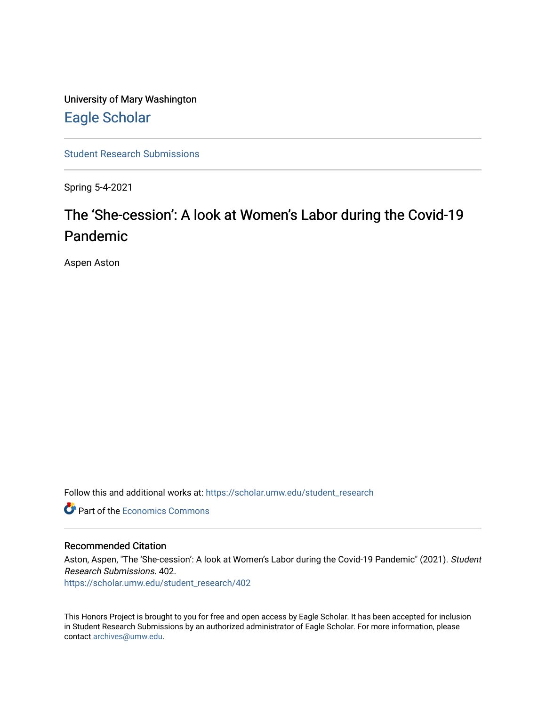University of Mary Washington [Eagle Scholar](https://scholar.umw.edu/) 

[Student Research Submissions](https://scholar.umw.edu/student_research) 

Spring 5-4-2021

# The 'She-cession': A look at Women's Labor during the Covid-19 Pandemic

Aspen Aston

Follow this and additional works at: [https://scholar.umw.edu/student\\_research](https://scholar.umw.edu/student_research?utm_source=scholar.umw.edu%2Fstudent_research%2F402&utm_medium=PDF&utm_campaign=PDFCoverPages)

**C** Part of the [Economics Commons](http://network.bepress.com/hgg/discipline/340?utm_source=scholar.umw.edu%2Fstudent_research%2F402&utm_medium=PDF&utm_campaign=PDFCoverPages)

#### Recommended Citation

Aston, Aspen, "The 'She-cession': A look at Women's Labor during the Covid-19 Pandemic" (2021). Student Research Submissions. 402.

[https://scholar.umw.edu/student\\_research/402](https://scholar.umw.edu/student_research/402?utm_source=scholar.umw.edu%2Fstudent_research%2F402&utm_medium=PDF&utm_campaign=PDFCoverPages)

This Honors Project is brought to you for free and open access by Eagle Scholar. It has been accepted for inclusion in Student Research Submissions by an authorized administrator of Eagle Scholar. For more information, please contact [archives@umw.edu](mailto:archives@umw.edu).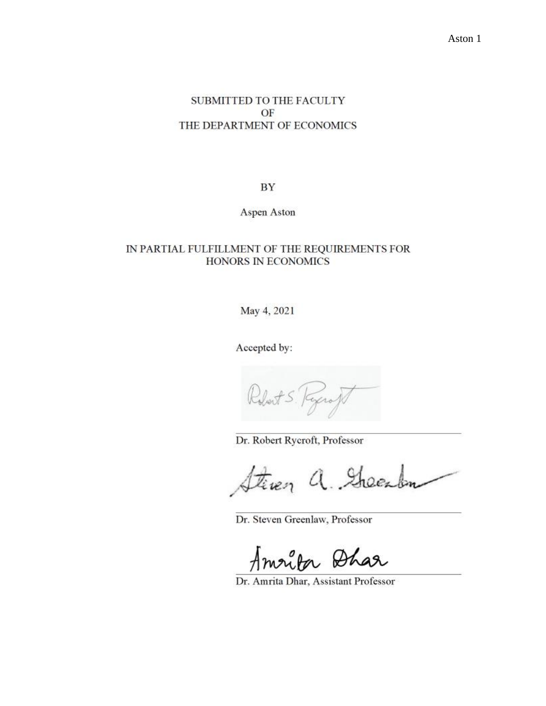# SUBMITTED TO THE FACULTY OF THE DEPARTMENT OF ECONOMICS

BY

Aspen Aston

# IN PARTIAL FULFILLMENT OF THE REQUIREMENTS FOR HONORS IN ECONOMICS

May 4, 2021

Accepted by:

Dr. Robert Rycroft, Professor

tiven a. Green

Dr. Steven Greenlaw, Professor

Amrita Dhar

Dr. Amrita Dhar, Assistant Professor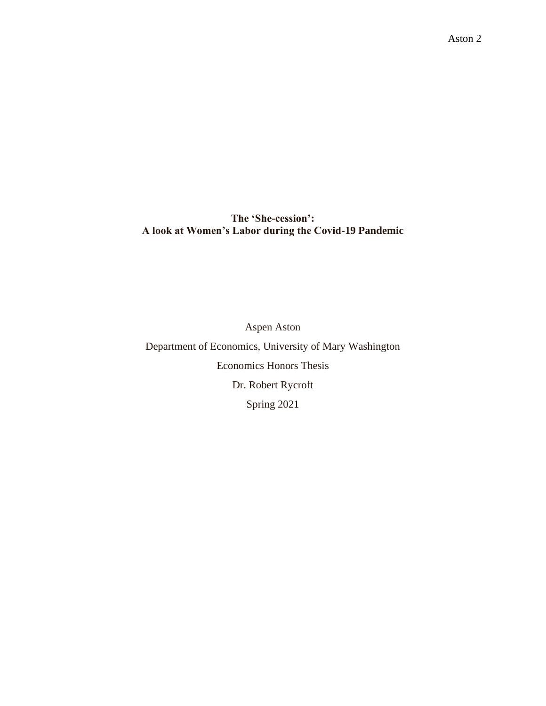**The 'She-cession': A look at Women's Labor during the Covid-19 Pandemic**

Aspen Aston Department of Economics, University of Mary Washington Economics Honors Thesis Dr. Robert Rycroft Spring 2021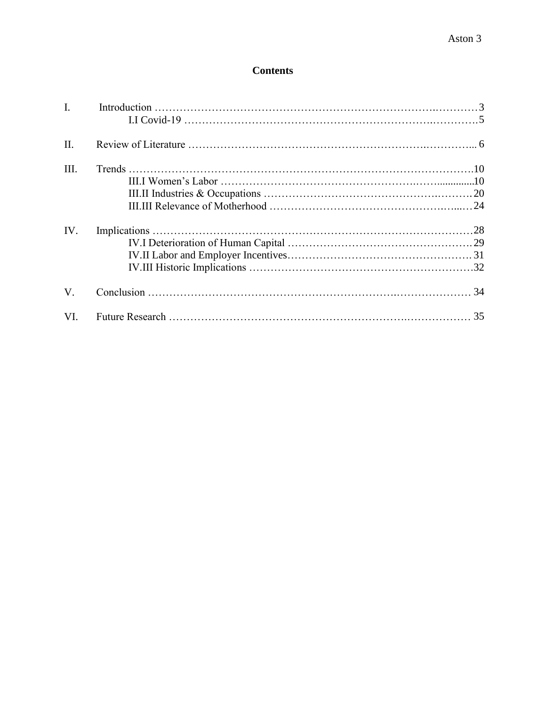# **Contents**

| $\mathbf{I}$ . |  |
|----------------|--|
| $\Pi$ .        |  |
| III.           |  |
|                |  |
| IV.            |  |
| $V_{\cdot}$    |  |
| VI.            |  |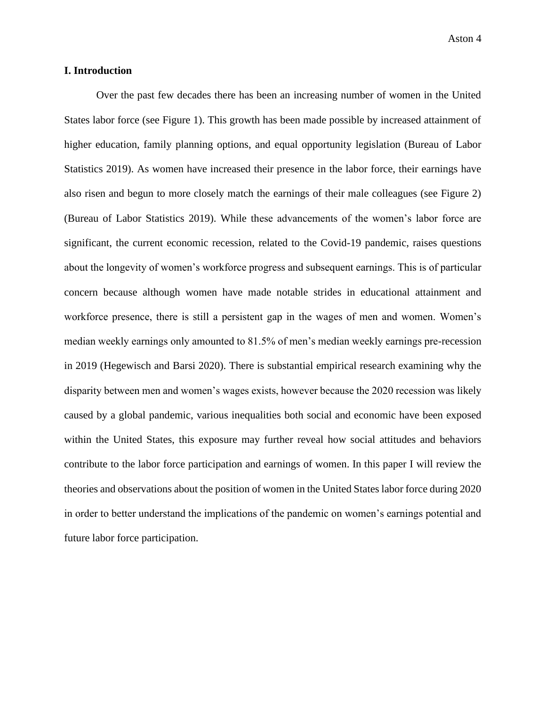Aston 4

## **I. Introduction**

Over the past few decades there has been an increasing number of women in the United States labor force (see Figure 1). This growth has been made possible by increased attainment of higher education, family planning options, and equal opportunity legislation (Bureau of Labor Statistics 2019). As women have increased their presence in the labor force, their earnings have also risen and begun to more closely match the earnings of their male colleagues (see Figure 2) (Bureau of Labor Statistics 2019). While these advancements of the women's labor force are significant, the current economic recession, related to the Covid-19 pandemic, raises questions about the longevity of women's workforce progress and subsequent earnings. This is of particular concern because although women have made notable strides in educational attainment and workforce presence, there is still a persistent gap in the wages of men and women. Women's median weekly earnings only amounted to 81.5% of men's median weekly earnings pre-recession in 2019 (Hegewisch and Barsi 2020). There is substantial empirical research examining why the disparity between men and women's wages exists, however because the 2020 recession was likely caused by a global pandemic, various inequalities both social and economic have been exposed within the United States, this exposure may further reveal how social attitudes and behaviors contribute to the labor force participation and earnings of women. In this paper I will review the theories and observations about the position of women in the United States labor force during 2020 in order to better understand the implications of the pandemic on women's earnings potential and future labor force participation.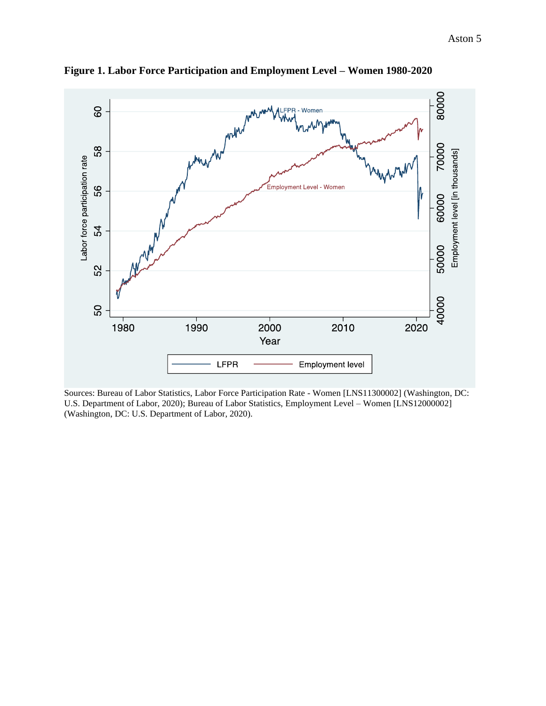

**Figure 1. Labor Force Participation and Employment Level – Women 1980-2020**

Sources: Bureau of Labor Statistics, Labor Force Participation Rate - Women [LNS11300002] (Washington, DC: U.S. Department of Labor, 2020); Bureau of Labor Statistics, Employment Level – Women [LNS12000002] (Washington, DC: U.S. Department of Labor, 2020).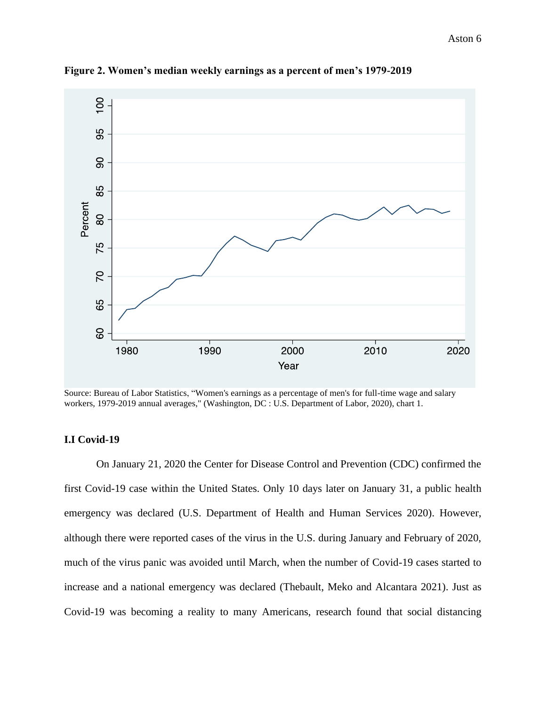

**Figure 2. Women's median weekly earnings as a percent of men's 1979-2019**

Source: Bureau of Labor Statistics, "Women's earnings as a percentage of men's for full-time wage and salary workers, 1979-2019 annual averages," (Washington, DC : U.S. Department of Labor, 2020), chart 1.

# **I.I Covid-19**

On January 21, 2020 the Center for Disease Control and Prevention (CDC) confirmed the first Covid-19 case within the United States. Only 10 days later on January 31, a public health emergency was declared (U.S. Department of Health and Human Services 2020). However, although there were reported cases of the virus in the U.S. during January and February of 2020, much of the virus panic was avoided until March, when the number of Covid-19 cases started to increase and a national emergency was declared (Thebault, Meko and Alcantara 2021). Just as Covid-19 was becoming a reality to many Americans, research found that social distancing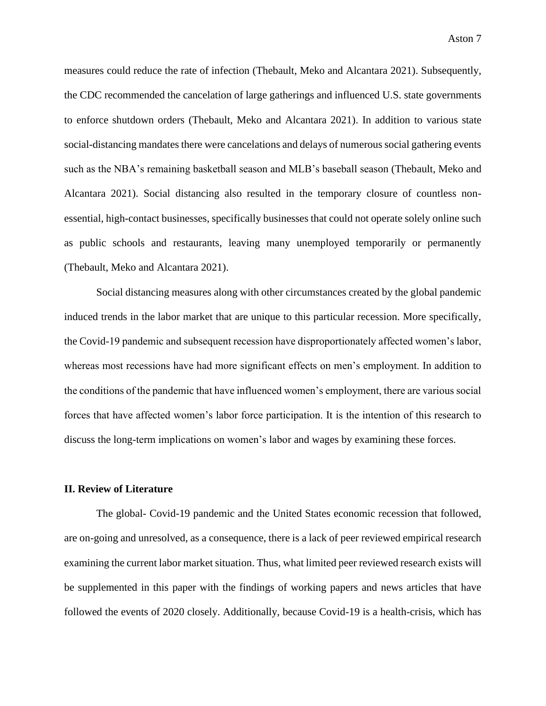measures could reduce the rate of infection (Thebault, Meko and Alcantara 2021). Subsequently, the CDC recommended the cancelation of large gatherings and influenced U.S. state governments to enforce shutdown orders (Thebault, Meko and Alcantara 2021). In addition to various state social-distancing mandates there were cancelations and delays of numerous social gathering events such as the NBA's remaining basketball season and MLB's baseball season (Thebault, Meko and Alcantara 2021). Social distancing also resulted in the temporary closure of countless nonessential, high-contact businesses, specifically businesses that could not operate solely online such as public schools and restaurants, leaving many unemployed temporarily or permanently (Thebault, Meko and Alcantara 2021).

Social distancing measures along with other circumstances created by the global pandemic induced trends in the labor market that are unique to this particular recession. More specifically, the Covid-19 pandemic and subsequent recession have disproportionately affected women's labor, whereas most recessions have had more significant effects on men's employment. In addition to the conditions of the pandemic that have influenced women's employment, there are various social forces that have affected women's labor force participation. It is the intention of this research to discuss the long-term implications on women's labor and wages by examining these forces.

## **II. Review of Literature**

The global- Covid-19 pandemic and the United States economic recession that followed, are on-going and unresolved, as a consequence, there is a lack of peer reviewed empirical research examining the current labor market situation. Thus, what limited peer reviewed research exists will be supplemented in this paper with the findings of working papers and news articles that have followed the events of 2020 closely. Additionally, because Covid-19 is a health-crisis, which has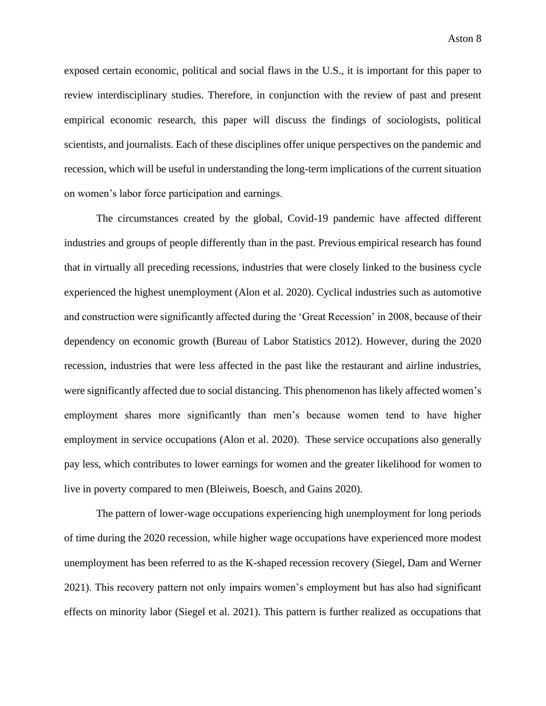exposed certain economic, political and social flaws in the U.S., it is important for this paper to review interdisciplinary studies. Therefore, in conjunction with the review of past and present empirical economic research, this paper will discuss the findings of sociologists, political scientists, and journalists. Each of these disciplines offer unique perspectives on the pandemic and recession, which will be useful in understanding the long-term implications of the current situation on women's labor force participation and earnings.

The circumstances created by the global, Covid-19 pandemic have affected different industries and groups of people differently than in the past. Previous empirical research has found that in virtually all preceding recessions, industries that were closely linked to the business cycle experienced the highest unemployment (Alon et al. 2020). Cyclical industries such as automotive and construction were significantly affected during the 'Great Recession' in 2008, because of their dependency on economic growth (Bureau of Labor Statistics 2012). However, during the 2020 recession, industries that were less affected in the past like the restaurant and airline industries, were significantly affected due to social distancing. This phenomenon has likely affected women's employment shares more significantly than men's because women tend to have higher employment in service occupations (Alon et al. 2020). These service occupations also generally pay less, which contributes to lower earnings for women and the greater likelihood for women to live in poverty compared to men (Bleiweis, Boesch, and Gains 2020).

The pattern of lower-wage occupations experiencing high unemployment for long periods of time during the 2020 recession, while higher wage occupations have experienced more modest unemployment has been referred to as the K-shaped recession recovery (Siegel, Dam and Werner 2021). This recovery pattern not only impairs women's employment but has also had significant effects on minority labor (Siegel et al. 2021). This pattern is further realized as occupations that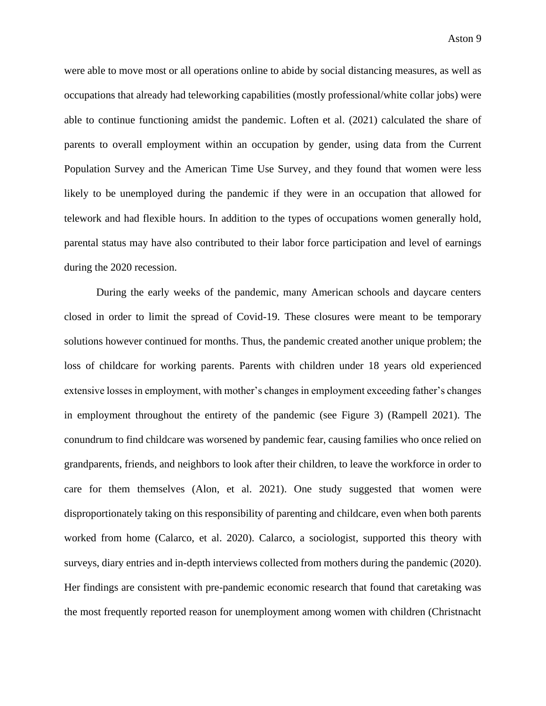were able to move most or all operations online to abide by social distancing measures, as well as occupations that already had teleworking capabilities (mostly professional/white collar jobs) were able to continue functioning amidst the pandemic. Loften et al. (2021) calculated the share of parents to overall employment within an occupation by gender, using data from the Current Population Survey and the American Time Use Survey, and they found that women were less likely to be unemployed during the pandemic if they were in an occupation that allowed for telework and had flexible hours. In addition to the types of occupations women generally hold, parental status may have also contributed to their labor force participation and level of earnings during the 2020 recession.

During the early weeks of the pandemic, many American schools and daycare centers closed in order to limit the spread of Covid-19. These closures were meant to be temporary solutions however continued for months. Thus, the pandemic created another unique problem; the loss of childcare for working parents. Parents with children under 18 years old experienced extensive losses in employment, with mother's changes in employment exceeding father's changes in employment throughout the entirety of the pandemic (see Figure 3) (Rampell 2021). The conundrum to find childcare was worsened by pandemic fear, causing families who once relied on grandparents, friends, and neighbors to look after their children, to leave the workforce in order to care for them themselves (Alon, et al. 2021). One study suggested that women were disproportionately taking on this responsibility of parenting and childcare, even when both parents worked from home (Calarco, et al. 2020). Calarco, a sociologist, supported this theory with surveys, diary entries and in-depth interviews collected from mothers during the pandemic (2020). Her findings are consistent with pre-pandemic economic research that found that caretaking was the most frequently reported reason for unemployment among women with children (Christnacht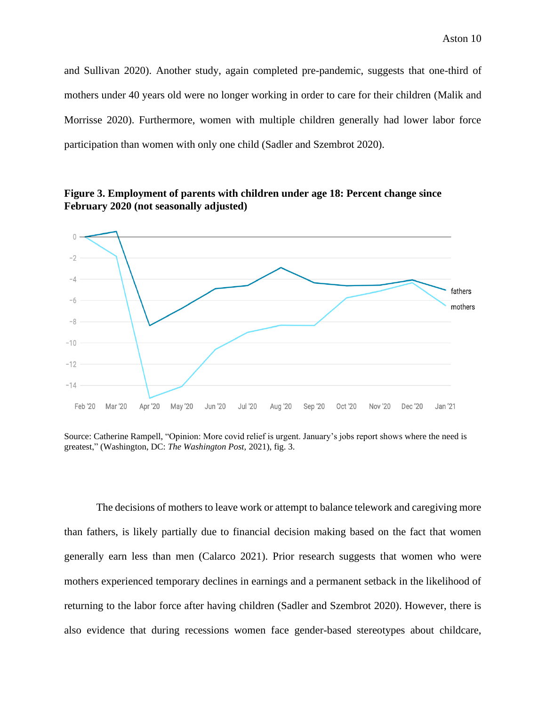and Sullivan 2020). Another study, again completed pre-pandemic, suggests that one-third of mothers under 40 years old were no longer working in order to care for their children (Malik and Morrisse 2020). Furthermore, women with multiple children generally had lower labor force participation than women with only one child (Sadler and Szembrot 2020).





Source: Catherine Rampell, "Opinion: More covid relief is urgent. January's jobs report shows where the need is greatest," (Washington, DC: *The Washington Post,* 2021), fig. 3.

The decisions of mothers to leave work or attempt to balance telework and caregiving more than fathers, is likely partially due to financial decision making based on the fact that women generally earn less than men (Calarco 2021). Prior research suggests that women who were mothers experienced temporary declines in earnings and a permanent setback in the likelihood of returning to the labor force after having children (Sadler and Szembrot 2020). However, there is also evidence that during recessions women face gender-based stereotypes about childcare,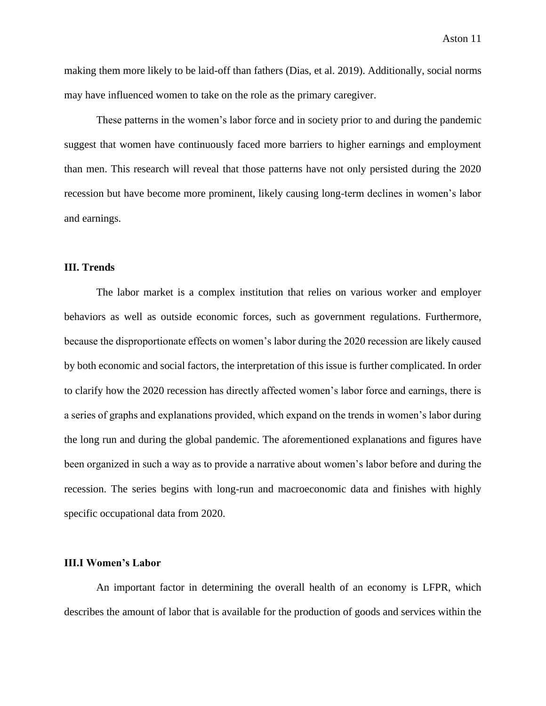making them more likely to be laid-off than fathers (Dias, et al. 2019). Additionally, social norms may have influenced women to take on the role as the primary caregiver.

These patterns in the women's labor force and in society prior to and during the pandemic suggest that women have continuously faced more barriers to higher earnings and employment than men. This research will reveal that those patterns have not only persisted during the 2020 recession but have become more prominent, likely causing long-term declines in women's labor and earnings.

#### **III. Trends**

The labor market is a complex institution that relies on various worker and employer behaviors as well as outside economic forces, such as government regulations. Furthermore, because the disproportionate effects on women's labor during the 2020 recession are likely caused by both economic and social factors, the interpretation of this issue is further complicated. In order to clarify how the 2020 recession has directly affected women's labor force and earnings, there is a series of graphs and explanations provided, which expand on the trends in women's labor during the long run and during the global pandemic. The aforementioned explanations and figures have been organized in such a way as to provide a narrative about women's labor before and during the recession. The series begins with long-run and macroeconomic data and finishes with highly specific occupational data from 2020.

#### **III.I Women's Labor**

An important factor in determining the overall health of an economy is LFPR, which describes the amount of labor that is available for the production of goods and services within the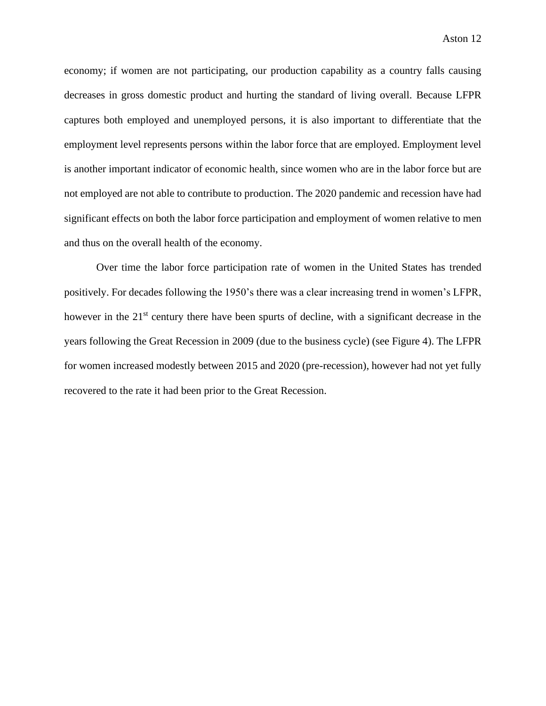economy; if women are not participating, our production capability as a country falls causing decreases in gross domestic product and hurting the standard of living overall. Because LFPR captures both employed and unemployed persons, it is also important to differentiate that the employment level represents persons within the labor force that are employed. Employment level is another important indicator of economic health, since women who are in the labor force but are not employed are not able to contribute to production. The 2020 pandemic and recession have had significant effects on both the labor force participation and employment of women relative to men and thus on the overall health of the economy.

Over time the labor force participation rate of women in the United States has trended positively. For decades following the 1950's there was a clear increasing trend in women's LFPR, however in the 21<sup>st</sup> century there have been spurts of decline, with a significant decrease in the years following the Great Recession in 2009 (due to the business cycle) (see Figure 4). The LFPR for women increased modestly between 2015 and 2020 (pre-recession), however had not yet fully recovered to the rate it had been prior to the Great Recession.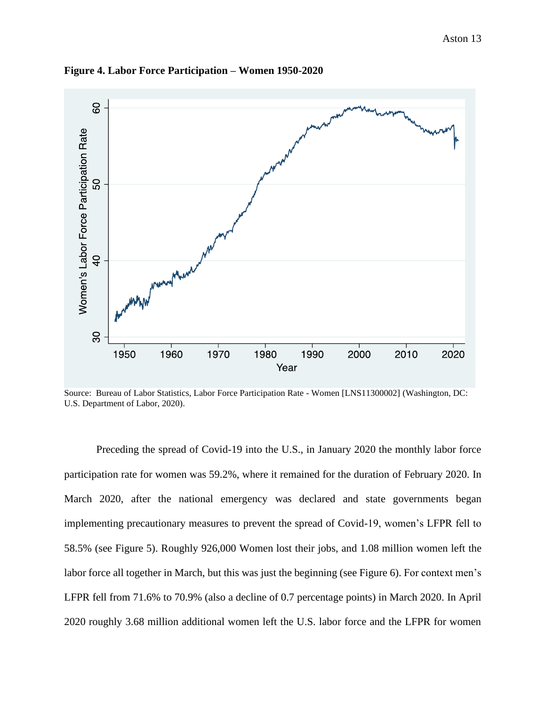

**Figure 4. Labor Force Participation – Women 1950-2020**

Source: Bureau of Labor Statistics, Labor Force Participation Rate - Women [LNS11300002] (Washington, DC: U.S. Department of Labor, 2020).

Preceding the spread of Covid-19 into the U.S., in January 2020 the monthly labor force participation rate for women was 59.2%, where it remained for the duration of February 2020. In March 2020, after the national emergency was declared and state governments began implementing precautionary measures to prevent the spread of Covid-19, women's LFPR fell to 58.5% (see Figure 5). Roughly 926,000 Women lost their jobs, and 1.08 million women left the labor force all together in March, but this was just the beginning (see Figure 6). For context men's LFPR fell from 71.6% to 70.9% (also a decline of 0.7 percentage points) in March 2020. In April 2020 roughly 3.68 million additional women left the U.S. labor force and the LFPR for women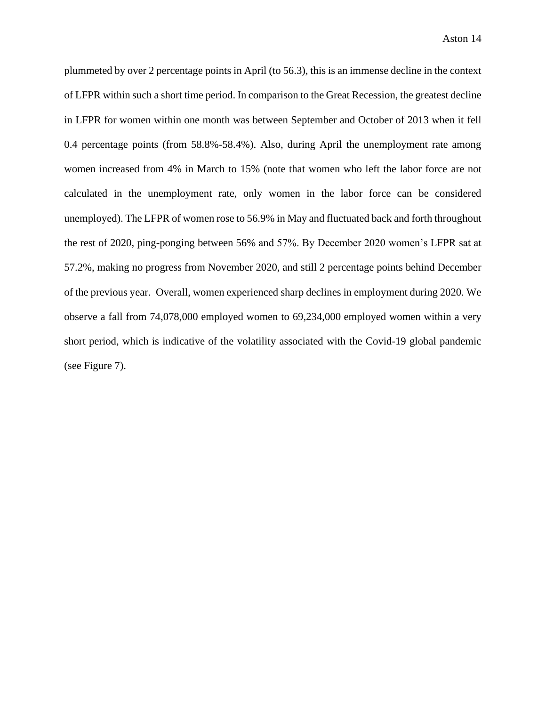plummeted by over 2 percentage points in April (to 56.3), this is an immense decline in the context of LFPR within such a short time period. In comparison to the Great Recession, the greatest decline in LFPR for women within one month was between September and October of 2013 when it fell 0.4 percentage points (from 58.8%-58.4%). Also, during April the unemployment rate among women increased from 4% in March to 15% (note that women who left the labor force are not calculated in the unemployment rate, only women in the labor force can be considered unemployed). The LFPR of women rose to 56.9% in May and fluctuated back and forth throughout the rest of 2020, ping-ponging between 56% and 57%. By December 2020 women's LFPR sat at 57.2%, making no progress from November 2020, and still 2 percentage points behind December of the previous year. Overall, women experienced sharp declines in employment during 2020. We observe a fall from 74,078,000 employed women to 69,234,000 employed women within a very short period, which is indicative of the volatility associated with the Covid-19 global pandemic (see Figure 7).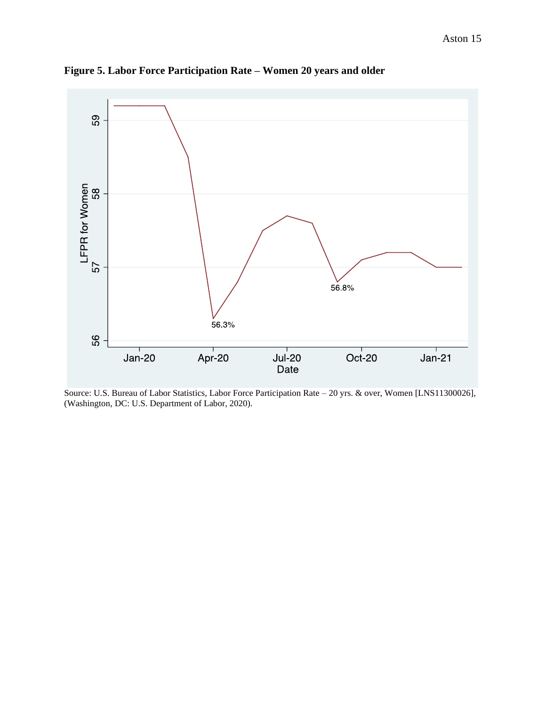

**Figure 5. Labor Force Participation Rate – Women 20 years and older**

Source: U.S. Bureau of Labor Statistics, Labor Force Participation Rate – 20 yrs. & over, Women [LNS11300026], (Washington, DC: U.S. Department of Labor, 2020).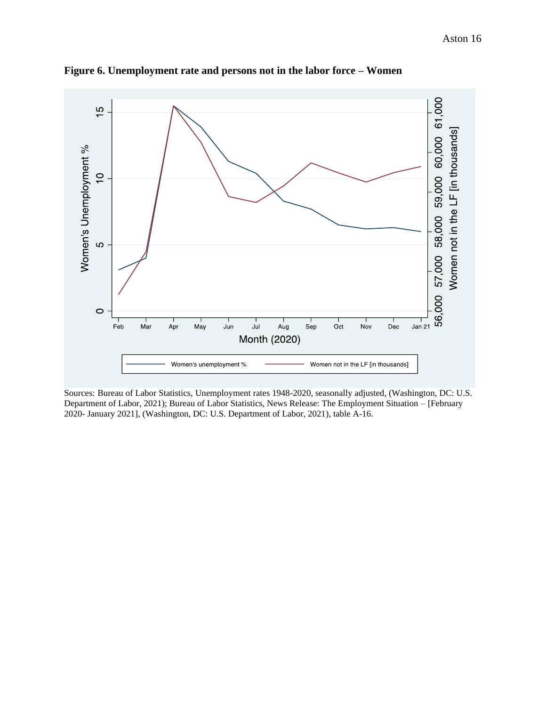

**Figure 6. Unemployment rate and persons not in the labor force – Women** 

Sources: Bureau of Labor Statistics, Unemployment rates 1948-2020, seasonally adjusted, (Washington, DC: U.S. Department of Labor, 2021); Bureau of Labor Statistics, News Release: The Employment Situation – [February 2020- January 2021], (Washington, DC: U.S. Department of Labor, 2021), table A-16.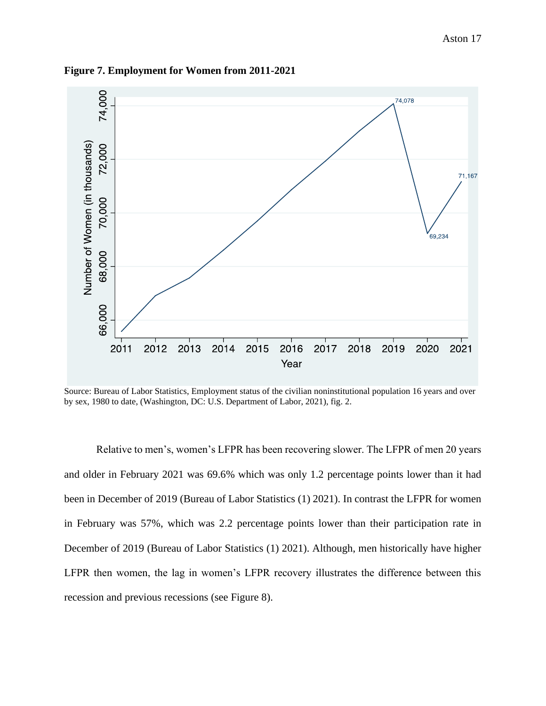

**Figure 7. Employment for Women from 2011-2021**

Source: Bureau of Labor Statistics, Employment status of the civilian noninstitutional population 16 years and over by sex, 1980 to date, (Washington, DC: U.S. Department of Labor, 2021), fig. 2.

Relative to men's, women's LFPR has been recovering slower. The LFPR of men 20 years and older in February 2021 was 69.6% which was only 1.2 percentage points lower than it had been in December of 2019 (Bureau of Labor Statistics (1) 2021). In contrast the LFPR for women in February was 57%, which was 2.2 percentage points lower than their participation rate in December of 2019 (Bureau of Labor Statistics (1) 2021). Although, men historically have higher LFPR then women, the lag in women's LFPR recovery illustrates the difference between this recession and previous recessions (see Figure 8).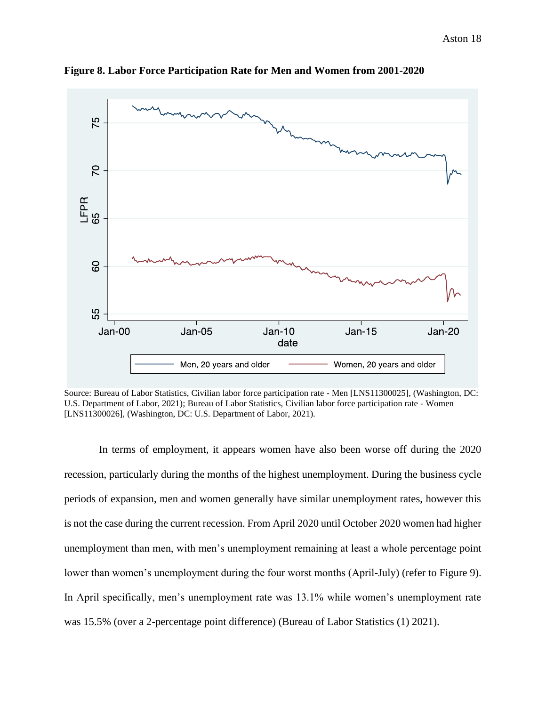

**Figure 8. Labor Force Participation Rate for Men and Women from 2001-2020**

Source: Bureau of Labor Statistics, Civilian labor force participation rate - Men [LNS11300025], (Washington, DC: U.S. Department of Labor, 2021); Bureau of Labor Statistics, Civilian labor force participation rate - Women [LNS11300026], (Washington, DC: U.S. Department of Labor, 2021).

In terms of employment, it appears women have also been worse off during the 2020 recession, particularly during the months of the highest unemployment. During the business cycle periods of expansion, men and women generally have similar unemployment rates, however this is not the case during the current recession. From April 2020 until October 2020 women had higher unemployment than men, with men's unemployment remaining at least a whole percentage point lower than women's unemployment during the four worst months (April-July) (refer to Figure 9). In April specifically, men's unemployment rate was 13.1% while women's unemployment rate was 15.5% (over a 2-percentage point difference) (Bureau of Labor Statistics (1) 2021).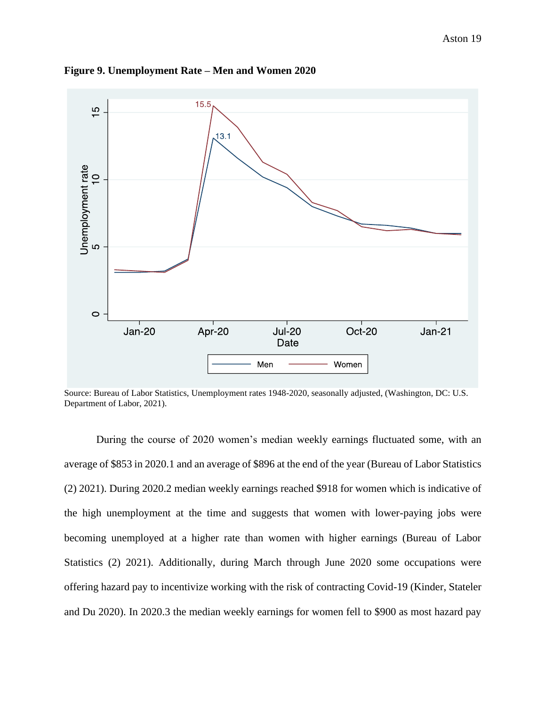

**Figure 9. Unemployment Rate – Men and Women 2020**

Source: Bureau of Labor Statistics, Unemployment rates 1948-2020, seasonally adjusted, (Washington, DC: U.S. Department of Labor, 2021).

During the course of 2020 women's median weekly earnings fluctuated some, with an average of \$853 in 2020.1 and an average of \$896 at the end of the year (Bureau of Labor Statistics (2) 2021). During 2020.2 median weekly earnings reached \$918 for women which is indicative of the high unemployment at the time and suggests that women with lower-paying jobs were becoming unemployed at a higher rate than women with higher earnings (Bureau of Labor Statistics (2) 2021). Additionally, during March through June 2020 some occupations were offering hazard pay to incentivize working with the risk of contracting Covid-19 (Kinder, Stateler and Du 2020). In 2020.3 the median weekly earnings for women fell to \$900 as most hazard pay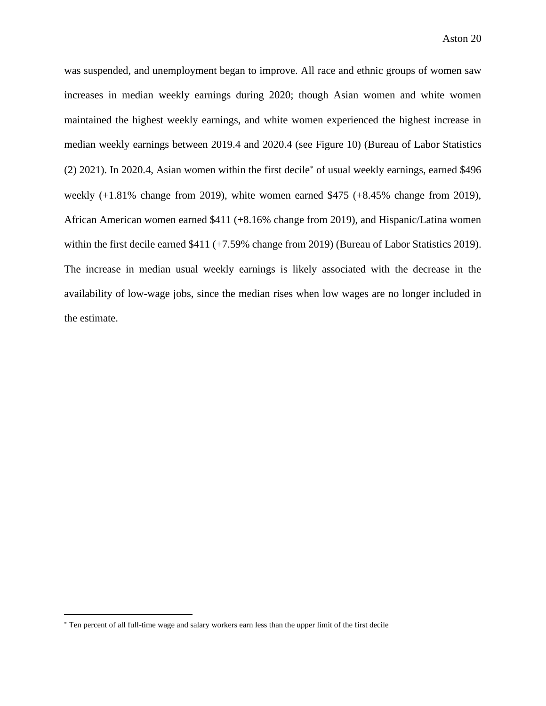was suspended, and unemployment began to improve. All race and ethnic groups of women saw increases in median weekly earnings during 2020; though Asian women and white women maintained the highest weekly earnings, and white women experienced the highest increase in median weekly earnings between 2019.4 and 2020.4 (see Figure 10) (Bureau of Labor Statistics  $(2)$  2021). In 2020.4, Asian women within the first decile<sup>\*</sup> of usual weekly earnings, earned \$496 weekly  $(+1.81\%$  change from 2019), white women earned \$475  $(+8.45\%$  change from 2019), African American women earned \$411 (+8.16% change from 2019), and Hispanic/Latina women within the first decile earned \$411 (+7.59% change from 2019) (Bureau of Labor Statistics 2019). The increase in median usual weekly earnings is likely associated with the decrease in the availability of low-wage jobs, since the median rises when low wages are no longer included in the estimate.

Ten percent of all full-time wage and salary workers earn less than the upper limit of the first decile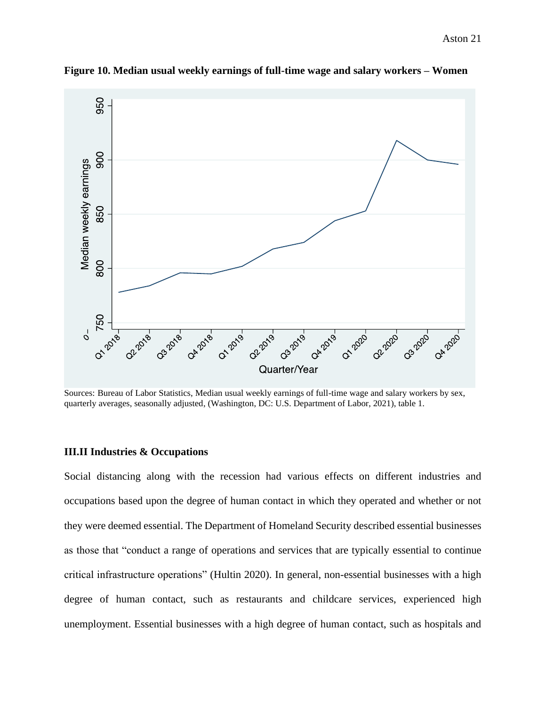

**Figure 10. Median usual weekly earnings of full-time wage and salary workers – Women** 

Sources: Bureau of Labor Statistics, Median usual weekly earnings of full-time wage and salary workers by sex, quarterly averages, seasonally adjusted, (Washington, DC: U.S. Department of Labor, 2021), table 1.

# **III.II Industries & Occupations**

Social distancing along with the recession had various effects on different industries and occupations based upon the degree of human contact in which they operated and whether or not they were deemed essential. The Department of Homeland Security described essential businesses as those that "conduct a range of operations and services that are typically essential to continue critical infrastructure operations" (Hultin 2020). In general, non-essential businesses with a high degree of human contact, such as restaurants and childcare services, experienced high unemployment. Essential businesses with a high degree of human contact, such as hospitals and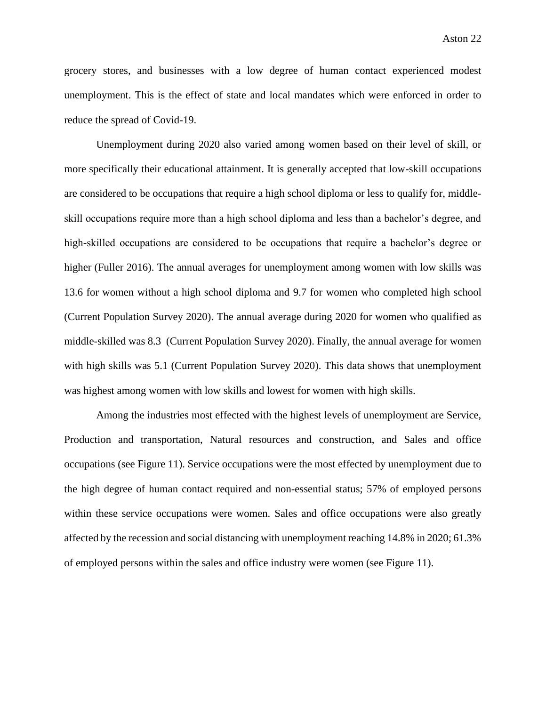grocery stores, and businesses with a low degree of human contact experienced modest unemployment. This is the effect of state and local mandates which were enforced in order to reduce the spread of Covid-19.

Unemployment during 2020 also varied among women based on their level of skill, or more specifically their educational attainment. It is generally accepted that low-skill occupations are considered to be occupations that require a high school diploma or less to qualify for, middleskill occupations require more than a high school diploma and less than a bachelor's degree, and high-skilled occupations are considered to be occupations that require a bachelor's degree or higher (Fuller 2016). The annual averages for unemployment among women with low skills was 13.6 for women without a high school diploma and 9.7 for women who completed high school (Current Population Survey 2020). The annual average during 2020 for women who qualified as middle-skilled was 8.3 (Current Population Survey 2020). Finally, the annual average for women with high skills was 5.1 (Current Population Survey 2020). This data shows that unemployment was highest among women with low skills and lowest for women with high skills.

Among the industries most effected with the highest levels of unemployment are Service, Production and transportation, Natural resources and construction, and Sales and office occupations (see Figure 11). Service occupations were the most effected by unemployment due to the high degree of human contact required and non-essential status; 57% of employed persons within these service occupations were women. Sales and office occupations were also greatly affected by the recession and social distancing with unemployment reaching 14.8% in 2020; 61.3% of employed persons within the sales and office industry were women (see Figure 11).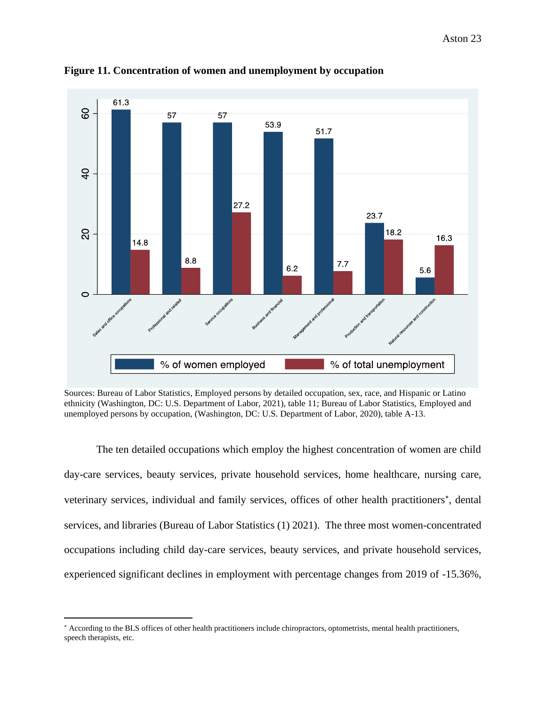

**Figure 11. Concentration of women and unemployment by occupation**

Sources: Bureau of Labor Statistics, Employed persons by detailed occupation, sex, race, and Hispanic or Latino ethnicity (Washington, DC: U.S. Department of Labor, 2021), table 11; Bureau of Labor Statistics, Employed and unemployed persons by occupation, (Washington, DC: U.S. Department of Labor, 2020), table A-13.

The ten detailed occupations which employ the highest concentration of women are child day-care services, beauty services, private household services, home healthcare, nursing care, veterinary services, individual and family services, offices of other health practitioners\*, dental services, and libraries (Bureau of Labor Statistics (1) 2021). The three most women-concentrated occupations including child day-care services, beauty services, and private household services, experienced significant declines in employment with percentage changes from 2019 of -15.36%,

According to the BLS offices of other health practitioners include chiropractors, optometrists, mental health practitioners, speech therapists, etc.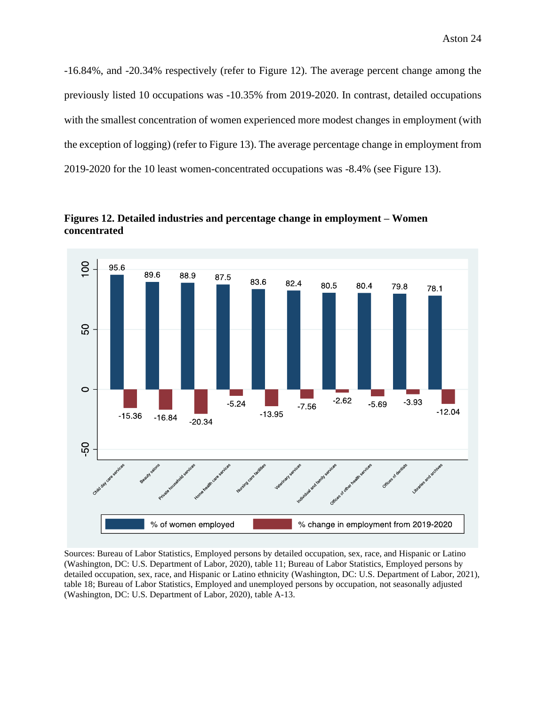-16.84%, and -20.34% respectively (refer to Figure 12). The average percent change among the previously listed 10 occupations was -10.35% from 2019-2020. In contrast, detailed occupations with the smallest concentration of women experienced more modest changes in employment (with the exception of logging) (refer to Figure 13). The average percentage change in employment from 2019-2020 for the 10 least women-concentrated occupations was -8.4% (see Figure 13).



**Figures 12. Detailed industries and percentage change in employment – Women concentrated** 

Sources: Bureau of Labor Statistics, Employed persons by detailed occupation, sex, race, and Hispanic or Latino (Washington, DC: U.S. Department of Labor, 2020), table 11; Bureau of Labor Statistics, Employed persons by detailed occupation, sex, race, and Hispanic or Latino ethnicity (Washington, DC: U.S. Department of Labor, 2021), table 18; Bureau of Labor Statistics, Employed and unemployed persons by occupation, not seasonally adjusted (Washington, DC: U.S. Department of Labor, 2020), table A-13.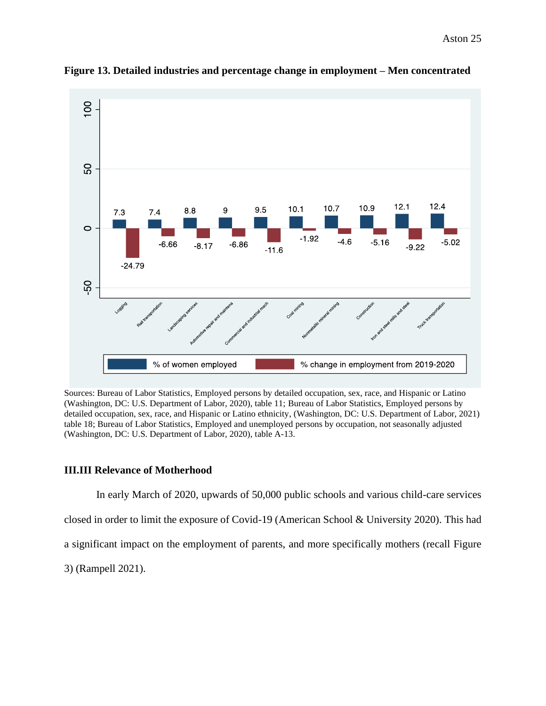

**Figure 13. Detailed industries and percentage change in employment – Men concentrated**

Sources: Bureau of Labor Statistics, Employed persons by detailed occupation, sex, race, and Hispanic or Latino (Washington, DC: U.S. Department of Labor, 2020), table 11; Bureau of Labor Statistics, Employed persons by detailed occupation, sex, race, and Hispanic or Latino ethnicity, (Washington, DC: U.S. Department of Labor, 2021) table 18; Bureau of Labor Statistics, Employed and unemployed persons by occupation, not seasonally adjusted (Washington, DC: U.S. Department of Labor, 2020), table A-13.

# **III.III Relevance of Motherhood**

In early March of 2020, upwards of 50,000 public schools and various child-care services closed in order to limit the exposure of Covid-19 (American School & University 2020). This had a significant impact on the employment of parents, and more specifically mothers (recall Figure 3) (Rampell 2021).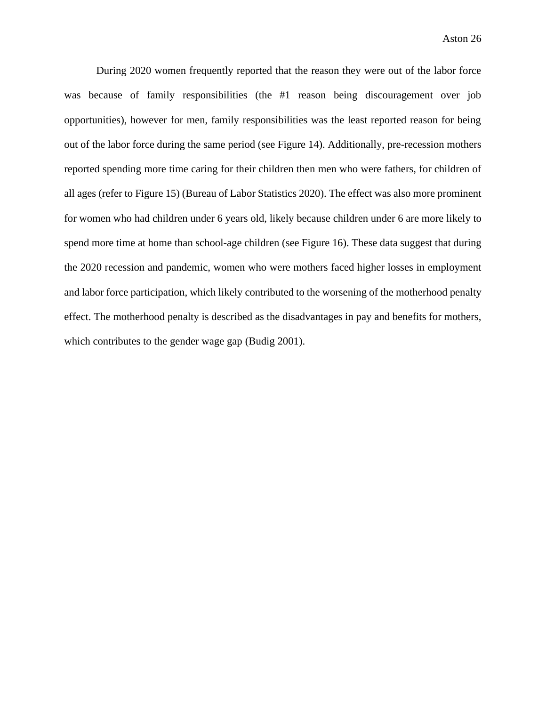During 2020 women frequently reported that the reason they were out of the labor force was because of family responsibilities (the #1 reason being discouragement over job opportunities), however for men, family responsibilities was the least reported reason for being out of the labor force during the same period (see Figure 14). Additionally, pre-recession mothers reported spending more time caring for their children then men who were fathers, for children of all ages (refer to Figure 15) (Bureau of Labor Statistics 2020). The effect was also more prominent for women who had children under 6 years old, likely because children under 6 are more likely to spend more time at home than school-age children (see Figure 16). These data suggest that during the 2020 recession and pandemic, women who were mothers faced higher losses in employment and labor force participation, which likely contributed to the worsening of the motherhood penalty effect. The motherhood penalty is described as the disadvantages in pay and benefits for mothers, which contributes to the gender wage gap (Budig 2001).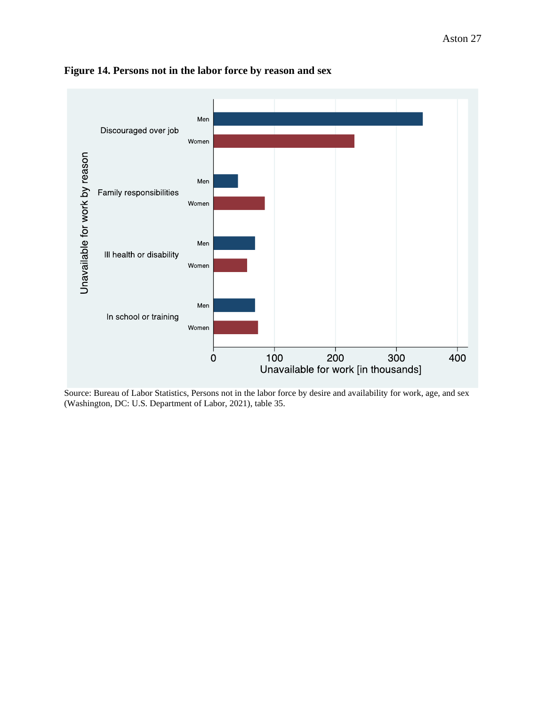

# **Figure 14. Persons not in the labor force by reason and sex**

Source: Bureau of Labor Statistics, Persons not in the labor force by desire and availability for work, age, and sex (Washington, DC: U.S. Department of Labor, 2021), table 35.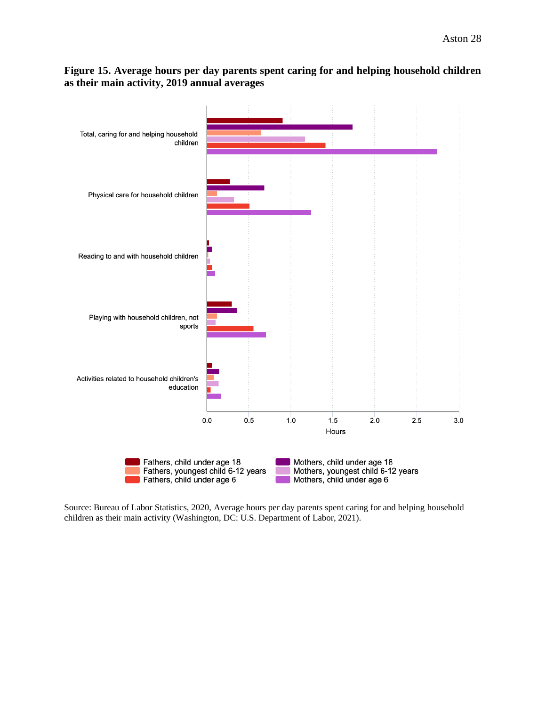# **Figure 15. Average hours per day parents spent caring for and helping household children as their main activity, 2019 annual averages**



Source: Bureau of Labor Statistics, 2020, Average hours per day parents spent caring for and helping household children as their main activity (Washington, DC: U.S. Department of Labor, 2021).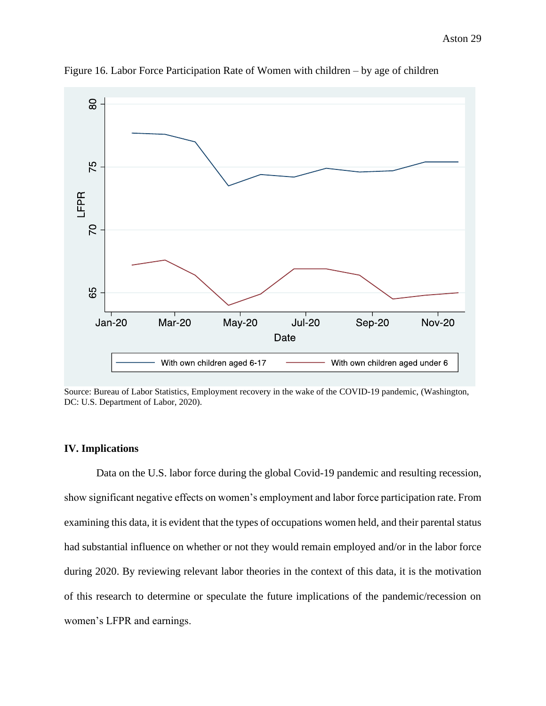Aston 29



Figure 16. Labor Force Participation Rate of Women with children – by age of children

Source: Bureau of Labor Statistics, Employment recovery in the wake of the COVID-19 pandemic, (Washington, DC: U.S. Department of Labor, 2020).

# **IV. Implications**

Data on the U.S. labor force during the global Covid-19 pandemic and resulting recession, show significant negative effects on women's employment and labor force participation rate. From examining this data, it is evident that the types of occupations women held, and their parental status had substantial influence on whether or not they would remain employed and/or in the labor force during 2020. By reviewing relevant labor theories in the context of this data, it is the motivation of this research to determine or speculate the future implications of the pandemic/recession on women's LFPR and earnings.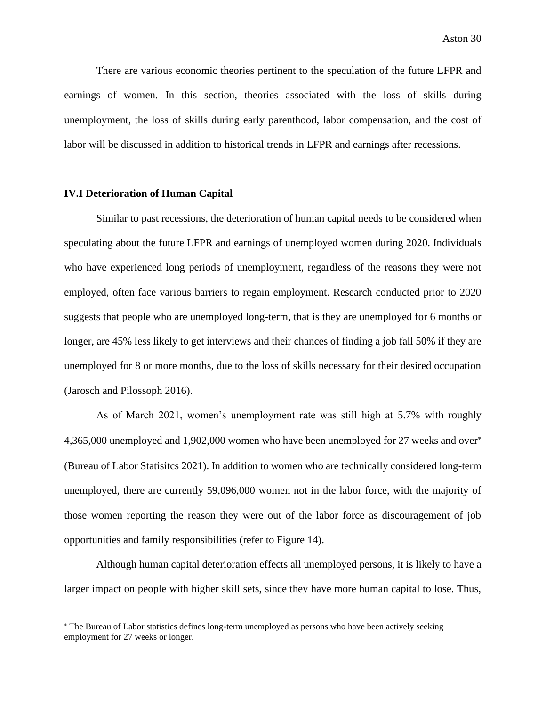There are various economic theories pertinent to the speculation of the future LFPR and earnings of women. In this section, theories associated with the loss of skills during unemployment, the loss of skills during early parenthood, labor compensation, and the cost of labor will be discussed in addition to historical trends in LFPR and earnings after recessions.

#### **IV.I Deterioration of Human Capital**

Similar to past recessions, the deterioration of human capital needs to be considered when speculating about the future LFPR and earnings of unemployed women during 2020. Individuals who have experienced long periods of unemployment, regardless of the reasons they were not employed, often face various barriers to regain employment. Research conducted prior to 2020 suggests that people who are unemployed long-term, that is they are unemployed for 6 months or longer, are 45% less likely to get interviews and their chances of finding a job fall 50% if they are unemployed for 8 or more months, due to the loss of skills necessary for their desired occupation (Jarosch and Pilossoph 2016).

As of March 2021, women's unemployment rate was still high at 5.7% with roughly 4,365,000 unemployed and 1,902,000 women who have been unemployed for 27 weeks and over (Bureau of Labor Statisitcs 2021). In addition to women who are technically considered long-term unemployed, there are currently 59,096,000 women not in the labor force, with the majority of those women reporting the reason they were out of the labor force as discouragement of job opportunities and family responsibilities (refer to Figure 14).

Although human capital deterioration effects all unemployed persons, it is likely to have a larger impact on people with higher skill sets, since they have more human capital to lose. Thus,

The Bureau of Labor statistics defines long-term unemployed as persons who have been actively seeking employment for 27 weeks or longer.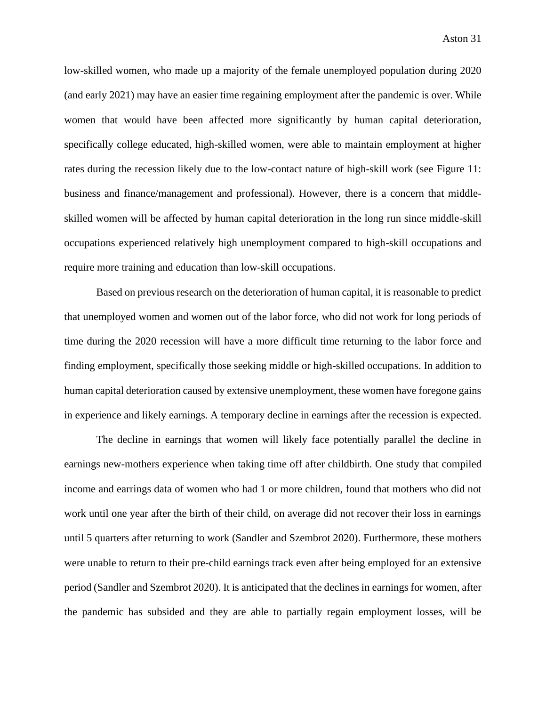low-skilled women, who made up a majority of the female unemployed population during 2020 (and early 2021) may have an easier time regaining employment after the pandemic is over. While women that would have been affected more significantly by human capital deterioration, specifically college educated, high-skilled women, were able to maintain employment at higher rates during the recession likely due to the low-contact nature of high-skill work (see Figure 11: business and finance/management and professional). However, there is a concern that middleskilled women will be affected by human capital deterioration in the long run since middle-skill occupations experienced relatively high unemployment compared to high-skill occupations and require more training and education than low-skill occupations.

Based on previous research on the deterioration of human capital, it is reasonable to predict that unemployed women and women out of the labor force, who did not work for long periods of time during the 2020 recession will have a more difficult time returning to the labor force and finding employment, specifically those seeking middle or high-skilled occupations. In addition to human capital deterioration caused by extensive unemployment, these women have foregone gains in experience and likely earnings. A temporary decline in earnings after the recession is expected.

The decline in earnings that women will likely face potentially parallel the decline in earnings new-mothers experience when taking time off after childbirth. One study that compiled income and earrings data of women who had 1 or more children, found that mothers who did not work until one year after the birth of their child, on average did not recover their loss in earnings until 5 quarters after returning to work (Sandler and Szembrot 2020). Furthermore, these mothers were unable to return to their pre-child earnings track even after being employed for an extensive period (Sandler and Szembrot 2020). It is anticipated that the declines in earnings for women, after the pandemic has subsided and they are able to partially regain employment losses, will be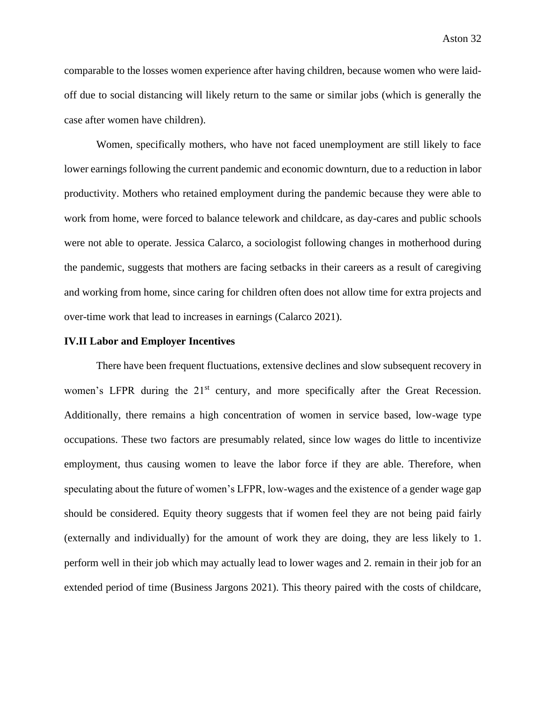comparable to the losses women experience after having children, because women who were laidoff due to social distancing will likely return to the same or similar jobs (which is generally the case after women have children).

Women, specifically mothers, who have not faced unemployment are still likely to face lower earnings following the current pandemic and economic downturn, due to a reduction in labor productivity. Mothers who retained employment during the pandemic because they were able to work from home, were forced to balance telework and childcare, as day-cares and public schools were not able to operate. Jessica Calarco, a sociologist following changes in motherhood during the pandemic, suggests that mothers are facing setbacks in their careers as a result of caregiving and working from home, since caring for children often does not allow time for extra projects and over-time work that lead to increases in earnings (Calarco 2021).

#### **IV.II Labor and Employer Incentives**

There have been frequent fluctuations, extensive declines and slow subsequent recovery in women's LFPR during the 21<sup>st</sup> century, and more specifically after the Great Recession. Additionally, there remains a high concentration of women in service based, low-wage type occupations. These two factors are presumably related, since low wages do little to incentivize employment, thus causing women to leave the labor force if they are able. Therefore, when speculating about the future of women's LFPR, low-wages and the existence of a gender wage gap should be considered. Equity theory suggests that if women feel they are not being paid fairly (externally and individually) for the amount of work they are doing, they are less likely to 1. perform well in their job which may actually lead to lower wages and 2. remain in their job for an extended period of time (Business Jargons 2021). This theory paired with the costs of childcare,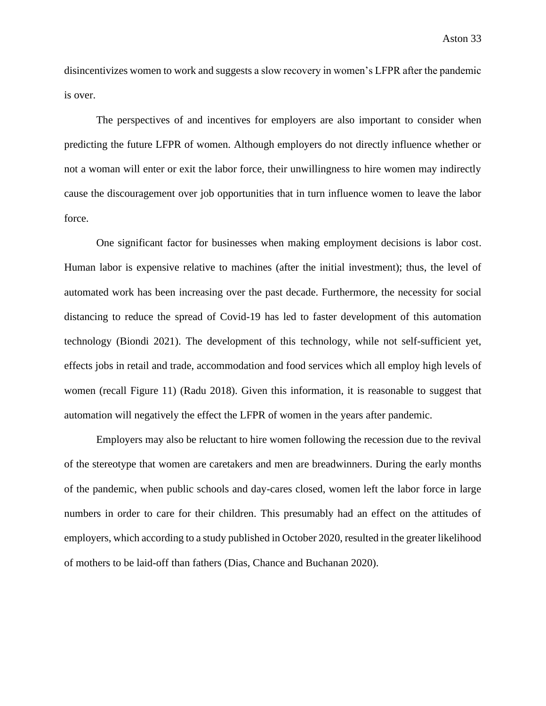disincentivizes women to work and suggests a slow recovery in women's LFPR after the pandemic is over.

The perspectives of and incentives for employers are also important to consider when predicting the future LFPR of women. Although employers do not directly influence whether or not a woman will enter or exit the labor force, their unwillingness to hire women may indirectly cause the discouragement over job opportunities that in turn influence women to leave the labor force.

One significant factor for businesses when making employment decisions is labor cost. Human labor is expensive relative to machines (after the initial investment); thus, the level of automated work has been increasing over the past decade. Furthermore, the necessity for social distancing to reduce the spread of Covid-19 has led to faster development of this automation technology (Biondi 2021). The development of this technology, while not self-sufficient yet, effects jobs in retail and trade, accommodation and food services which all employ high levels of women (recall Figure 11) (Radu 2018). Given this information, it is reasonable to suggest that automation will negatively the effect the LFPR of women in the years after pandemic.

Employers may also be reluctant to hire women following the recession due to the revival of the stereotype that women are caretakers and men are breadwinners. During the early months of the pandemic, when public schools and day-cares closed, women left the labor force in large numbers in order to care for their children. This presumably had an effect on the attitudes of employers, which according to a study published in October 2020, resulted in the greater likelihood of mothers to be laid-off than fathers (Dias, Chance and Buchanan 2020).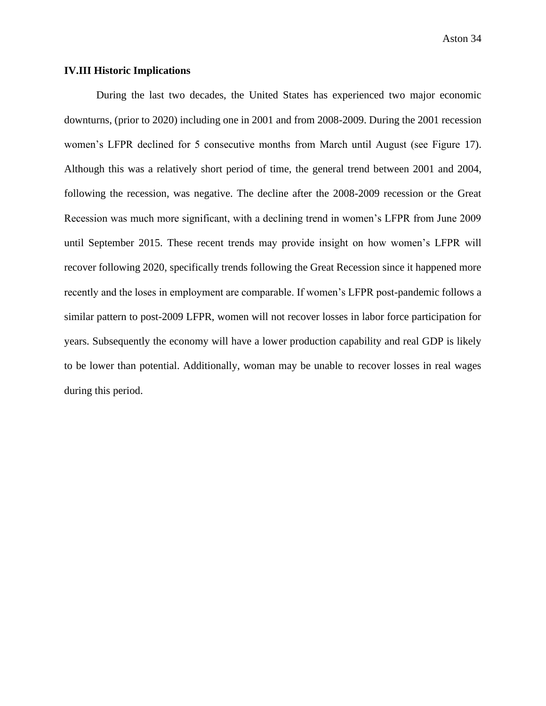## **IV.III Historic Implications**

During the last two decades, the United States has experienced two major economic downturns, (prior to 2020) including one in 2001 and from 2008-2009. During the 2001 recession women's LFPR declined for 5 consecutive months from March until August (see Figure 17). Although this was a relatively short period of time, the general trend between 2001 and 2004, following the recession, was negative. The decline after the 2008-2009 recession or the Great Recession was much more significant, with a declining trend in women's LFPR from June 2009 until September 2015. These recent trends may provide insight on how women's LFPR will recover following 2020, specifically trends following the Great Recession since it happened more recently and the loses in employment are comparable. If women's LFPR post-pandemic follows a similar pattern to post-2009 LFPR, women will not recover losses in labor force participation for years. Subsequently the economy will have a lower production capability and real GDP is likely to be lower than potential. Additionally, woman may be unable to recover losses in real wages during this period.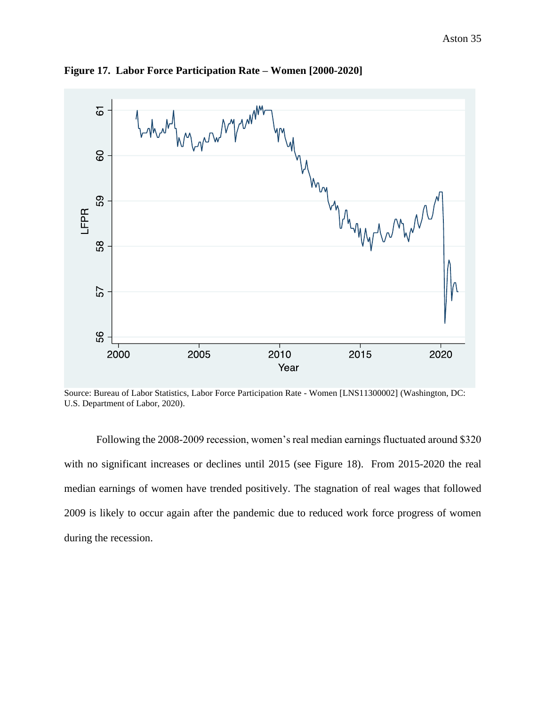

**Figure 17. Labor Force Participation Rate – Women [2000-2020]**

Source: Bureau of Labor Statistics, Labor Force Participation Rate - Women [LNS11300002] (Washington, DC: U.S. Department of Labor, 2020).

Following the 2008-2009 recession, women's real median earnings fluctuated around \$320 with no significant increases or declines until 2015 (see Figure 18). From 2015-2020 the real median earnings of women have trended positively. The stagnation of real wages that followed 2009 is likely to occur again after the pandemic due to reduced work force progress of women during the recession.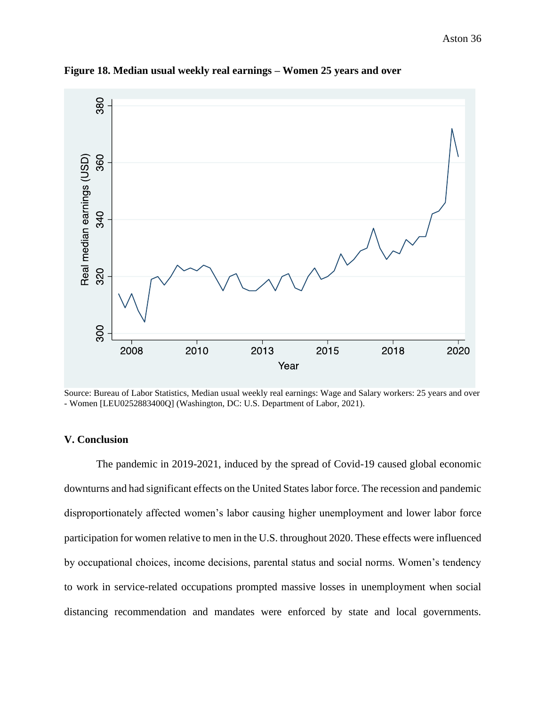

**Figure 18. Median usual weekly real earnings – Women 25 years and over**

Source: Bureau of Labor Statistics, Median usual weekly real earnings: Wage and Salary workers: 25 years and over - Women [LEU0252883400Q] (Washington, DC: U.S. Department of Labor, 2021).

# **V. Conclusion**

The pandemic in 2019-2021, induced by the spread of Covid-19 caused global economic downturns and had significant effects on the United States labor force. The recession and pandemic disproportionately affected women's labor causing higher unemployment and lower labor force participation for women relative to men in the U.S. throughout 2020. These effects were influenced by occupational choices, income decisions, parental status and social norms. Women's tendency to work in service-related occupations prompted massive losses in unemployment when social distancing recommendation and mandates were enforced by state and local governments.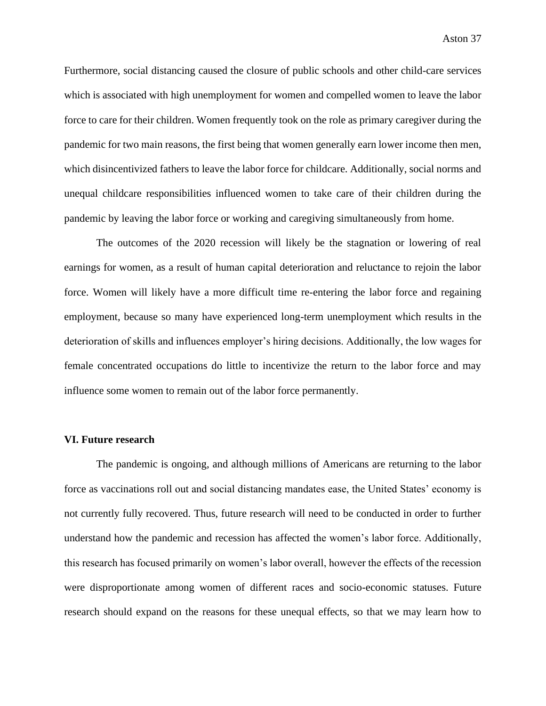Furthermore, social distancing caused the closure of public schools and other child-care services which is associated with high unemployment for women and compelled women to leave the labor force to care for their children. Women frequently took on the role as primary caregiver during the pandemic for two main reasons, the first being that women generally earn lower income then men, which disincentivized fathers to leave the labor force for childcare. Additionally, social norms and unequal childcare responsibilities influenced women to take care of their children during the pandemic by leaving the labor force or working and caregiving simultaneously from home.

The outcomes of the 2020 recession will likely be the stagnation or lowering of real earnings for women, as a result of human capital deterioration and reluctance to rejoin the labor force. Women will likely have a more difficult time re-entering the labor force and regaining employment, because so many have experienced long-term unemployment which results in the deterioration of skills and influences employer's hiring decisions. Additionally, the low wages for female concentrated occupations do little to incentivize the return to the labor force and may influence some women to remain out of the labor force permanently.

#### **VI. Future research**

The pandemic is ongoing, and although millions of Americans are returning to the labor force as vaccinations roll out and social distancing mandates ease, the United States' economy is not currently fully recovered. Thus, future research will need to be conducted in order to further understand how the pandemic and recession has affected the women's labor force. Additionally, this research has focused primarily on women's labor overall, however the effects of the recession were disproportionate among women of different races and socio-economic statuses. Future research should expand on the reasons for these unequal effects, so that we may learn how to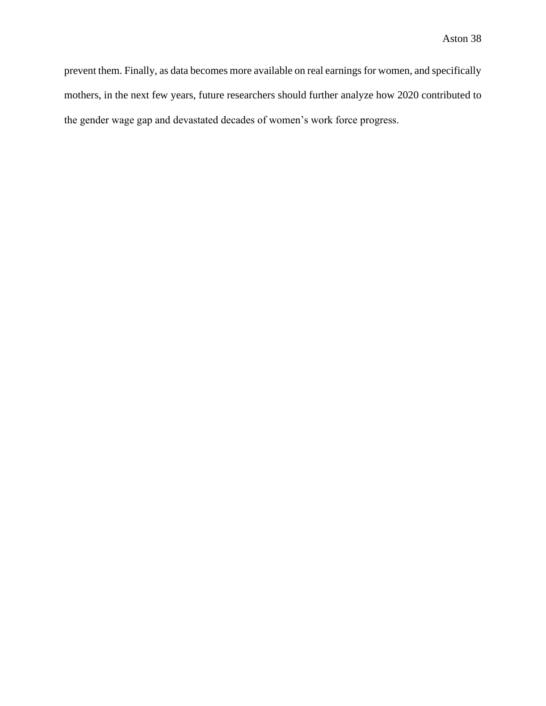prevent them. Finally, as data becomes more available on real earnings for women, and specifically mothers, in the next few years, future researchers should further analyze how 2020 contributed to the gender wage gap and devastated decades of women's work force progress.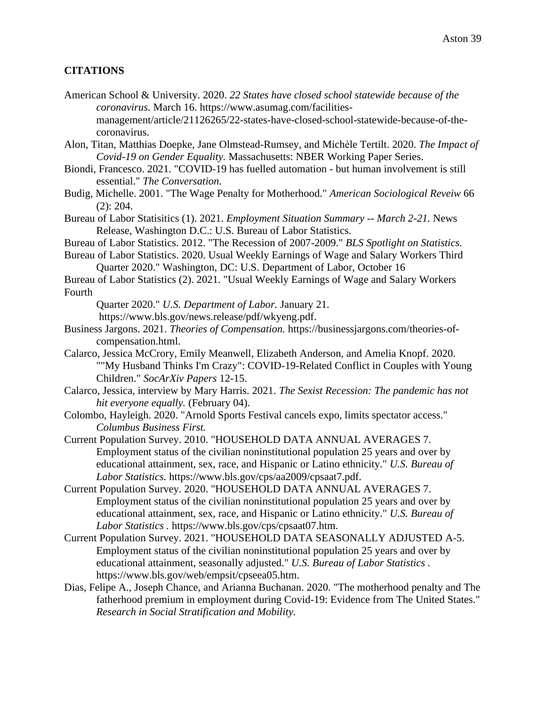# **CITATIONS**

- American School & University. 2020. *22 States have closed school statewide because of the coronavirus.* March 16. https://www.asumag.com/facilitiesmanagement/article/21126265/22-states-have-closed-school-statewide-because-of-thecoronavirus.
- Alon, Titan, Matthias Doepke, Jane Olmstead-Rumsey, and Michèle Tertilt. 2020. *The Impact of Covid-19 on Gender Equality.* Massachusetts: NBER Working Paper Series.
- Biondi, Francesco. 2021. "COVID-19 has fuelled automation but human involvement is still essential." *The Conversation.*
- Budig, Michelle. 2001. "The Wage Penalty for Motherhood." *American Sociological Reveiw* 66 (2): 204.
- Bureau of Labor Statisitics (1). 2021. *Employment Situation Summary -- March 2-21.* News Release, Washington D.C.: U.S. Bureau of Labor Statistics.
- Bureau of Labor Statistics. 2012. "The Recession of 2007-2009." *BLS Spotlight on Statistics.*
- Bureau of Labor Statistics. 2020. Usual Weekly Earnings of Wage and Salary Workers Third Quarter 2020." Washington, DC: U.S. Department of Labor, October 16
- Bureau of Labor Statistics (2). 2021. "Usual Weekly Earnings of Wage and Salary Workers Fourth

Quarter 2020." *U.S. Department of Labor.* January 21.

https://www.bls.gov/news.release/pdf/wkyeng.pdf.

- Business Jargons. 2021. *Theories of Compensation.* https://businessjargons.com/theories-ofcompensation.html.
- Calarco, Jessica McCrory, Emily Meanwell, Elizabeth Anderson, and Amelia Knopf. 2020. ""My Husband Thinks I'm Crazy": COVID-19-Related Conflict in Couples with Young Children." *SocArXiv Papers* 12-15.
- Calarco, Jessica, interview by Mary Harris. 2021. *The Sexist Recession: The pandemic has not hit everyone equally.* (February 04).
- Colombo, Hayleigh. 2020. "Arnold Sports Festival cancels expo, limits spectator access." *Columbus Business First.*
- Current Population Survey. 2010. "HOUSEHOLD DATA ANNUAL AVERAGES 7. Employment status of the civilian noninstitutional population 25 years and over by educational attainment, sex, race, and Hispanic or Latino ethnicity." *U.S. Bureau of Labor Statistics.* https://www.bls.gov/cps/aa2009/cpsaat7.pdf.
- Current Population Survey. 2020. "HOUSEHOLD DATA ANNUAL AVERAGES 7. Employment status of the civilian noninstitutional population 25 years and over by educational attainment, sex, race, and Hispanic or Latino ethnicity." *U.S. Bureau of Labor Statistics .* https://www.bls.gov/cps/cpsaat07.htm.
- Current Population Survey. 2021. "HOUSEHOLD DATA SEASONALLY ADJUSTED A-5. Employment status of the civilian noninstitutional population 25 years and over by educational attainment, seasonally adjusted." *U.S. Bureau of Labor Statistics .* https://www.bls.gov/web/empsit/cpseea05.htm.
- Dias, Felipe A., Joseph Chance, and Arianna Buchanan. 2020. "The motherhood penalty and The fatherhood premium in employment during Covid-19: Evidence from The United States." *Research in Social Stratification and Mobility.*